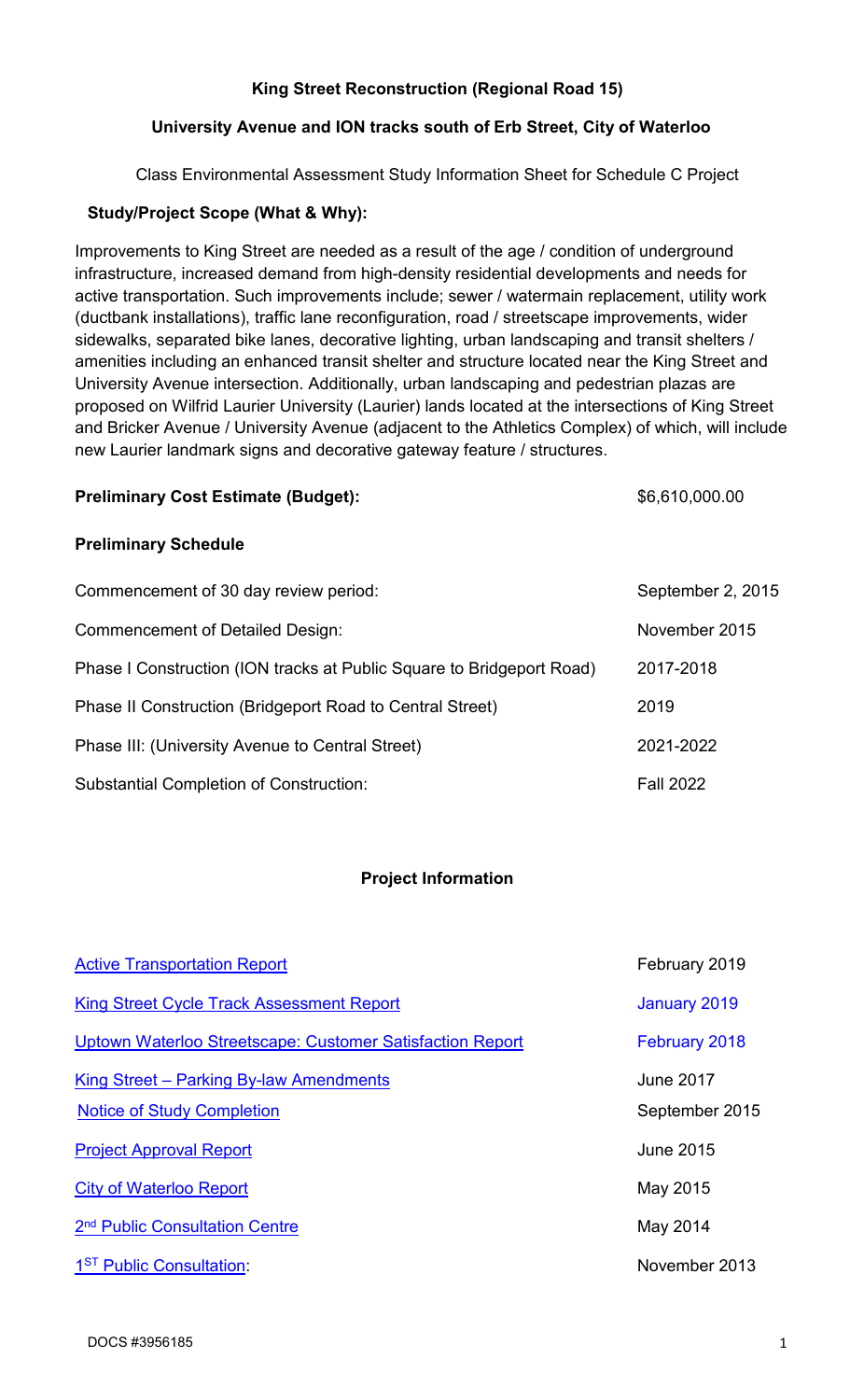## **King Street Reconstruction (Regional Road 15)**

## **University Avenue and ION tracks south of Erb Street, City of Waterloo**

Class Environmental Assessment Study Information Sheet for Schedule C Project

## **Study/Project Scope (What & Why):**

Improvements to King Street are needed as a result of the age / condition of underground infrastructure, increased demand from high-density residential developments and needs for active transportation. Such improvements include; sewer / watermain replacement, utility work (ductbank installations), traffic lane reconfiguration, road / streetscape improvements, wider sidewalks, separated bike lanes, decorative lighting, urban landscaping and transit shelters / amenities including an enhanced transit shelter and structure located near the King Street and University Avenue intersection. Additionally, urban landscaping and pedestrian plazas are proposed on Wilfrid Laurier University (Laurier) lands located at the intersections of King Street and Bricker Avenue / University Avenue (adjacent to the Athletics Complex) of which, will include new Laurier landmark signs and decorative gateway feature / structures.

#### Preliminary Cost Estimate (Budget):  $$6,610,000.00$

### **Preliminary Schedule**

| Commencement of 30 day review period:                                 | September 2, 2015 |
|-----------------------------------------------------------------------|-------------------|
| <b>Commencement of Detailed Design:</b>                               | November 2015     |
| Phase I Construction (ION tracks at Public Square to Bridgeport Road) | 2017-2018         |
| Phase II Construction (Bridgeport Road to Central Street)             | 2019              |
| Phase III: (University Avenue to Central Street)                      | 2021-2022         |
| <b>Substantial Completion of Construction:</b>                        | <b>Fall 2022</b>  |

### **Project Information**

| <b>Active Transportation Report</b>                                          | February 2019                      |
|------------------------------------------------------------------------------|------------------------------------|
| <b>King Street Cycle Track Assessment Report</b>                             | January 2019                       |
| Uptown Waterloo Streetscape: Customer Satisfaction Report                    | February 2018                      |
| King Street – Parking By-law Amendments<br><b>Notice of Study Completion</b> | <b>June 2017</b><br>September 2015 |
| <b>Project Approval Report</b>                                               | <b>June 2015</b>                   |
| <b>City of Waterloo Report</b>                                               | May 2015                           |
| 2 <sup>nd</sup> Public Consultation Centre                                   | May 2014                           |
| 1 <sup>ST</sup> Public Consultation:                                         | November 2013                      |